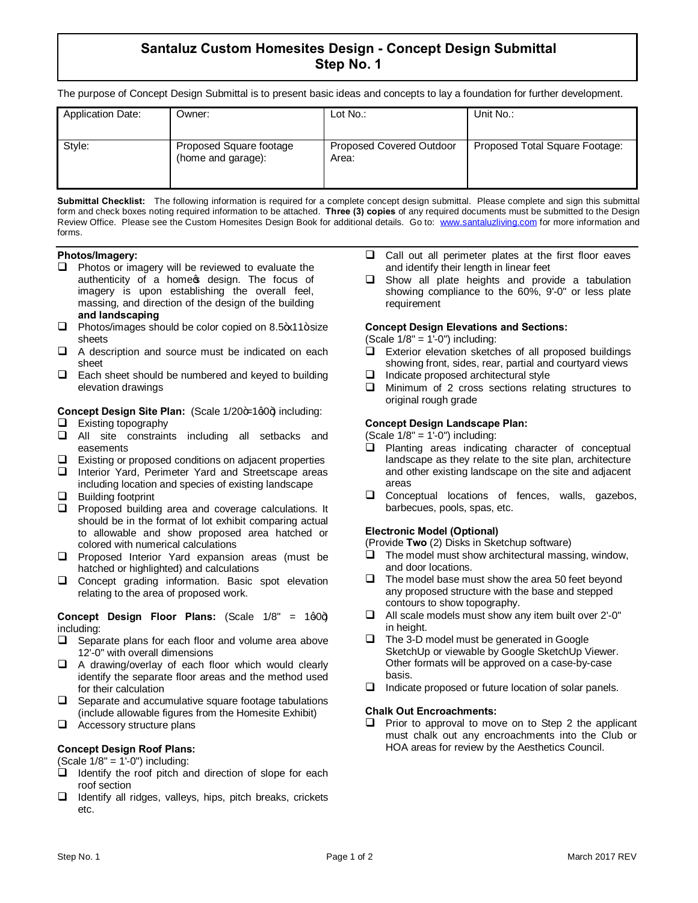# **Santaluz Custom Homesites Design - Concept Design Submittal Step No. 1**

The purpose of Concept Design Submittal is to present basic ideas and concepts to lay a foundation for further development.

| Owner:                                        | Lot $No.$ :                              | Unit No.:                      |
|-----------------------------------------------|------------------------------------------|--------------------------------|
| Proposed Square footage<br>(home and garage): | <b>Proposed Covered Outdoor</b><br>Area: | Proposed Total Square Footage: |
|                                               |                                          |                                |

**Submittal Checklist:** The following information is required for a complete concept design submittal. Please complete and sign this submittal form and check boxes noting required information to be attached. **Three (3) copies** of any required documents must be submitted to the Design Review Office. Please see the Custom Homesites Design Book for additional details. Go to: www.santaluzliving.com for more information and forms.

#### **Photos/Imagery:**

- $\Box$  Photos or imagery will be reviewed to evaluate the authenticity of a home of design. The focus of imagery is upon establishing the overall feel, massing, and direction of the design of the building **and landscaping**
- $\Box$  Photos/images should be color copied on 8.5 $\star$ 11+ size sheets
- $\Box$  A description and source must be indicated on each sheet
- $\Box$  Each sheet should be numbered and keyed to building elevation drawings

**Concept Design Site Plan:** (Scale 1/20+1q0+) including:

- $\Box$  Existing topography
- $\Box$  All site constraints including all setbacks and easements
- $\Box$  Existing or proposed conditions on adjacent properties
- $\Box$  Interior Yard, Perimeter Yard and Streetscape areas including location and species of existing landscape
- $\Box$  Building footprint
- $\Box$  Proposed building area and coverage calculations. It should be in the format of lot exhibit comparing actual to allowable and show proposed area hatched or colored with numerical calculations
- $\Box$  Proposed Interior Yard expansion areas (must be hatched or highlighted) and calculations
- $\Box$  Concept grading information. Basic spot elevation relating to the area of proposed work.

#### **Concept Design Floor Plans:** (Scale 1/8" = 1g0+) including:

- $\Box$  Separate plans for each floor and volume area above 12'-0" with overall dimensions
- $\Box$  A drawing/overlay of each floor which would clearly identify the separate floor areas and the method used for their calculation
- $\Box$  Separate and accumulative square footage tabulations (include allowable figures from the Homesite Exhibit)
- $\Box$  Accessory structure plans

## **Concept Design Roof Plans:**

 $(Scale 1/8" = 1'-0")$  including:

- $\Box$  Identify the roof pitch and direction of slope for each roof section
- $\Box$  Identify all ridges, valleys, hips, pitch breaks, crickets etc.
- $\Box$  Call out all perimeter plates at the first floor eaves and identify their length in linear feet
- $\Box$  Show all plate heights and provide a tabulation showing compliance to the 60%, 9'-0" or less plate requirement

#### **Concept Design Elevations and Sections:**

(Scale  $1/8$ " =  $1'-0$ ") including:

- $\Box$  Exterior elevation sketches of all proposed buildings showing front, sides, rear, partial and courtyard views
- $\Box$  Indicate proposed architectural style
- $\Box$  Minimum of 2 cross sections relating structures to original rough grade

### **Concept Design Landscape Plan:**

 $(Scale 1/8" = 1'-0")$  including:

- $\Box$  Planting areas indicating character of conceptual landscape as they relate to the site plan, architecture and other existing landscape on the site and adjacent areas
- $\Box$  Conceptual locations of fences, walls, gazebos, barbecues, pools, spas, etc.

#### **Electronic Model (Optional)**

- (Provide **Two** (2) Disks in Sketchup software)
- $\Box$  The model must show architectural massing, window, and door locations.
- $\Box$  The model base must show the area 50 feet beyond any proposed structure with the base and stepped contours to show topography.
- $\Box$  All scale models must show any item built over 2'-0" in height.
- $\Box$  The 3-D model must be generated in Google SketchUp or viewable by Google SketchUp Viewer. Other formats will be approved on a case-by-case basis.
- $\Box$  Indicate proposed or future location of solar panels.

#### **Chalk Out Encroachments:**

 $\Box$  Prior to approval to move on to Step 2 the applicant must chalk out any encroachments into the Club or HOA areas for review by the Aesthetics Council.